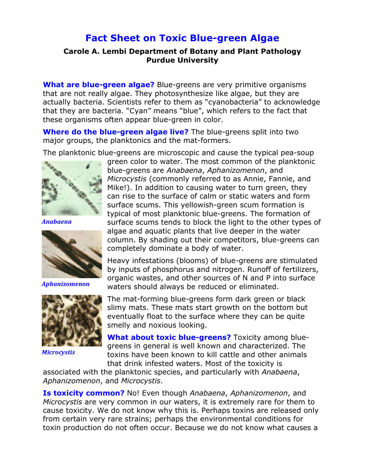## **Fact Sheet on Toxic Blue-green Algae**

## **Carole A. Lembi Department of Botany and Plant Pathology Purdue University**

**What are blue-green algae?** Blue-greens are very primitive organisms that are not really algae. They photosynthesize like algae, but they are actually bacteria. Scientists refer to them as "cyanobacteria" to acknowledge that they are bacteria. "Cyan" means "blue", which refers to the fact that these organisms often appear blue-green in color.

**Where do the blue-green algae live?** The blue-greens split into two major groups, the planktonics and the mat-formers.

The planktonic blue-greens are microscopic and cause the typical pea-soup



*Anabaena&*



*Aphanizomenon&*



*Microcystis***!!**

green color to water. The most common of the planktonic blue-greens are *Anabaena*, *Aphanizomenon*, and *Microcystis* (commonly referred to as Annie, Fannie, and Mike!). In addition to causing water to turn green, they can rise to the surface of calm or static waters and form surface scums. This yellowish-green scum formation is typical of most planktonic blue-greens. The formation of surface scums tends to block the light to the other types of algae and aquatic plants that live deeper in the water column. By shading out their competitors, blue-greens can completely dominate a body of water.

Heavy infestations (blooms) of blue-greens are stimulated by inputs of phosphorus and nitrogen. Runoff of fertilizers, organic wastes, and other sources of N and P into surface waters should always be reduced or eliminated.

The mat-forming blue-greens form dark green or black slimy mats. These mats start growth on the bottom but eventually float to the surface where they can be quite smelly and noxious looking.

**What about toxic blue-greens?** Toxicity among bluegreens in general is well known and characterized. The toxins have been known to kill cattle and other animals that drink infested waters. Most of the toxicity is

associated with the planktonic species, and particularly with *Anabaena*, *Aphanizomenon*, and *Microcystis*.

**Is toxicity common?** No! Even though *Anabaena*, *Aphanizomenon*, and *Microcystis* are very common in our waters, it is extremely rare for them to cause toxicity. We do not know why this is. Perhaps toxins are released only from certain very rare strains; perhaps the environmental conditions for toxin production do not often occur. Because we do not know what causes a